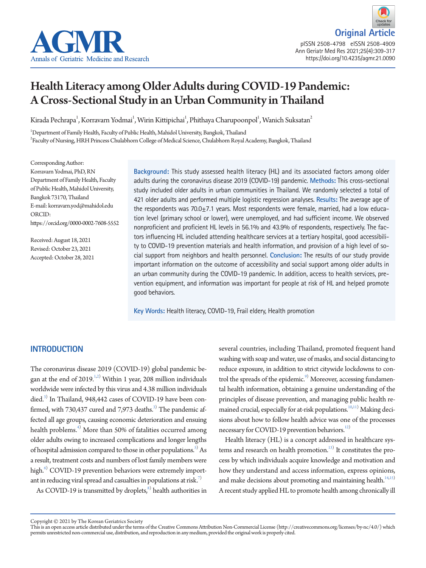

**Original Article** pISSN 2508-4798 eISSN 2508-4909 Ann Geriatr Med Res 2021;25(4):309-317 https://doi.org/10.4235/agmr.21.0090

# Health Literacy among Older Adults during COVID-19 Pandemic: A Cross-Sectional Study in an Urban Community in Thailand

Kirada Pechrapa $^{\rm l}$ , Korravarn Yodmai $^{\rm l}$ , Wirin Kittipichai $^{\rm l}$ , Phithaya Charupoonpol $^{\rm l}$ , Wanich Suksatan $^{\rm 2}$ 

1 Department of Family Health, Faculty of Public Health, Mahidol University, Bangkok, Thailand 2 Faculty of Nursing, HRH Princess Chulabhorn College of Medical Science, Chulabhorn Royal Academy, Bangkok, Thailand

Corresponding Author: Korravarn Yodmai, PhD, RN Department of Family Health, Faculty of Public Health, Mahidol University, Bangkok 73170, Thailand E-mail: korravarn.yod@mahidol.edu ORCID: https://orcid.org/0000-0002-7608-5552

Received: August 18, 2021 Revised: October 23, 2021 Accepted: October 28, 2021 **Background:** This study assessed health literacy (HL) and its associated factors among older adults during the coronavirus disease 2019 (COVID-19) pandemic. **Methods:** This cross-sectional study included older adults in urban communities in Thailand. We randomly selected a total of 421 older adults and performed multiple logistic regression analyses. **Results:** The average age of the respondents was  $70.0<sub>±</sub>7.1$  years. Most respondents were female, married, had a low education level (primary school or lower), were unemployed, and had sufficient income. We observed nonproficient and proficient HL levels in 56.1% and 43.9% of respondents, respectively. The factors influencing HL included attending healthcare services at a tertiary hospital, good accessibility to COVID-19 prevention materials and health information, and provision of a high level of social support from neighbors and health personnel. **Conclusion:** The results of our study provide important information on the outcome of accessibility and social support among older adults in an urban community during the COVID-19 pandemic. In addition, access to health services, prevention equipment, and information was important for people at risk of HL and helped promote good behaviors.

**Key Words:** Health literacy, COVID-19, Frail eldery, Health promotion

## **INTRODUCTION**

The coronavirus disease 2019 (COVID-19) global pandemic began at the end of  $2019$ .<sup>1[,2](#page-6-1))</sup> Within 1 year, 208 million individuals worldwide were infected by this virus and 4.38 million individuals died.<sup>3)</sup> In Thailand, 948,442 cases of COVID-19 have been confirmed, with 730,437 cured and 7,973 deaths. $^{3)}$  The pandemic affected all age groups, causing economic deterioration and ensuing health problems.<sup>[4\)](#page-6-3)</sup> More than 50% of fatalities occurred among older adults owing to increased complications and longer lengths of hospital admission compared to those in other populations. $^{5)}$  As a result, treatment costs and numbers of lost family members were high. $^6$  COVID-19 prevention behaviors were extremely important in reducing viral spread and casualties in populations at risk.<sup>7)</sup>

As COVID-19 is transmitted by droplets, ${}^{8)}$  health authorities in

several countries, including Thailand, promoted frequent hand washing with soap and water, use of masks, and social distancing to reduce exposure, in addition to strict citywide lockdowns to control the spreads of the epidemic.<sup>9)</sup> Moreover, accessing fundamental health information, obtaining a genuine understanding of the principles of disease prevention, and managing public health re-mained crucial, especially for at-risk populations.<sup>[10](#page-6-8)[,11](#page-6-9))</sup> Making decisions about how to follow health advice was one of the processes necessary for COVID-19 prevention behaviors.<sup>12)</sup>

Health literacy (HL) is a concept addressed in healthcare systems and research on health promotion.<sup>13)</sup> It constitutes the process by which individuals acquire knowledge and motivation and how they understand and access information, express opinions, and make decisions about promoting and maintaining health.<sup>14[,15](#page-7-2))</sup> A recent study applied HL to promote health among chronically ill

Copyright © 2021 by The Korean Geriatrics Society<br>This is an open access article distributed under the terms of the Creative Commons Attribution Non-Commercial License (http://creativecommons.org/licenses/by-nc/4.0/) which permits unrestricted non-commercial use, distribution, and reproduction in any medium, provided the original work is properly cited.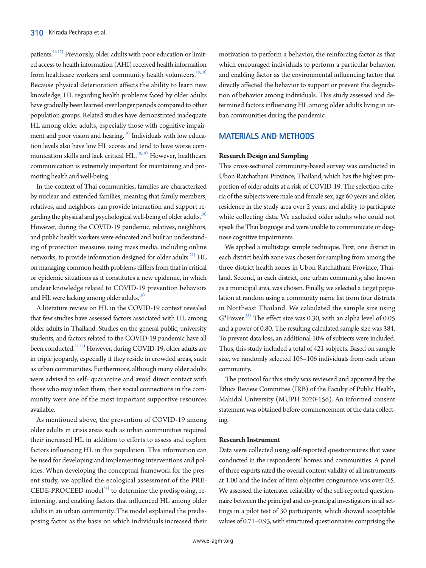patients.<sup>[16](#page-7-3)[,17](#page-7-0))</sup> Previously, older adults with poor education or limited access to health information (AHI) received health information from healthcare workers and community health volunteers.<sup>[18](#page-7-1)[,19\)](#page-7-2)</sup> Because physical deterioration affects the ability to learn new knowledge, HL regarding health problems faced by older adults have gradually been learned over longer periods compared to other population groups. Related studies have demonstrated inadequate HL among older adults, especially those with cognitive impair-ment and poor vision and hearing.<sup>[19](#page-7-2))</sup> Individuals with low education levels also have low HL scores and tend to have worse communication skills and lack critical  $\rm HL^{18,19)}$  $\rm HL^{18,19)}$  $\rm HL^{18,19)}$  However, healthcare communication is extremely important for maintaining and promoting health and well-being.

In the context of Thai communities, families are characterized by nuclear and extended families, meaning that family members, relatives, and neighbors can provide interaction and support regarding the physical and psychological well-being of older adults.<sup>20)</sup> However, during the COVID-19 pandemic, relatives, neighbors, and public health workers were educated and built an understanding of protection measures using mass media, including online networks, to provide information designed for older adults. $^{21)}$  HL on managing common health problems differs from that in critical or epidemic situations as it constitutes a new epidemic, in which unclear knowledge related to COVID-19 prevention behaviors and HL were lacking among older adults.<sup>18)</sup>

A literature review on HL in the COVID-19 context revealed that few studies have assessed factors associated with HL among older adults in Thailand. Studies on the general public, university students, and factors related to the COVID-19 pandemic have all been conducted.<sup>22[,23\)](#page-7-7)</sup> However, during COVID-19, older adults are in triple jeopardy, especially if they reside in crowded areas, such as urban communities. Furthermore, although many older adults were advised to self- quarantine and avoid direct contact with those who may infect them, their social connections in the community were one of the most important supportive resources available.

As mentioned above, the prevention of COVID-19 among older adults in crisis areas such as urban communities required their increased HL in addition to efforts to assess and explore factors influencing HL in this population. This information can be used for developing and implementing interventions and policies. When developing the conceptual framework for the present study, we applied the ecological assessment of the PRE-CEDE-PROCEED model<sup>[24](#page-7-8))</sup> to determine the predisposing, reinforcing, and enabling factors that influenced HL among older adults in an urban community. The model explained the predisposing factor as the basis on which individuals increased their

motivation to perform a behavior, the reinforcing factor as that which encouraged individuals to perform a particular behavior, and enabling factor as the environmental influencing factor that directly affected the behavior to support or prevent the degradation of behavior among individuals. This study assessed and determined factors influencing HL among older adults living in urban communities during the pandemic.

## **MATERIALS AND METHODS**

## **Research Design and Sampling**

This cross-sectional community-based survey was conducted in Ubon Ratchathani Province, Thailand, which has the highest proportion of older adults at a risk of COVID-19. The selection criteria of the subjects were male and female sex, age 60 years and older, residence in the study area over 2 years, and ability to participate while collecting data. We excluded older adults who could not speak the Thai language and were unable to communicate or diagnose cognitive impairments.

We applied a multistage sample technique. First, one district in each district health zone was chosen for sampling from among the three district health zones in Ubon Ratchathani Province, Thailand. Second, in each district, one urban community, also known as a municipal area, was chosen. Finally, we selected a target population at random using a community name list from four districts in Northeast Thailand. We calculated the sample size using  $G^*$ Power.<sup>25)</sup> The effect size was 0.30, with an alpha level of 0.05 and a power of 0.80. The resulting calculated sample size was 384. To prevent data loss, an additional 10% of subjects were included. Thus, this study included a total of 421 subjects. Based on sample size, we randomly selected 105–106 individuals from each urban community.

The protocol for this study was reviewed and approved by the Ethics Review Committee (IRB) of the Faculty of Public Health, Mahidol University (MUPH 2020-156). An informed consent statement was obtained before commencement of the data collecting.

### **Research Instrument**

Data were collected using self-reported questionnaires that were conducted in the respondents' homes and communities. A panel of three experts rated the overall content validity of all instruments at 1.00 and the index of item objective congruence was over 0.5. We assessed the interrater reliability of the self-reported questionnaire between the principal and co-principal investigators in all settings in a pilot test of 30 participants, which showed acceptable values of 0.71–0.93, with structured questionnaires comprising the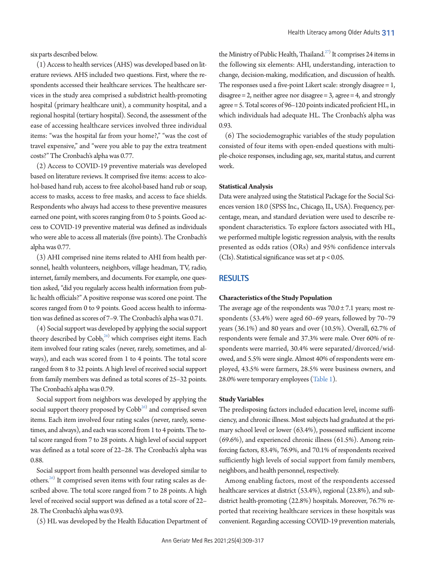six parts described below.

(1) Access to health services (AHS) was developed based on literature reviews. AHS included two questions. First, where the respondents accessed their healthcare services. The healthcare services in the study area comprised a subdistrict health-promoting hospital (primary healthcare unit), a community hospital, and a regional hospital (tertiary hospital). Second, the assessment of the ease of accessing healthcare services involved three individual items: "was the hospital far from your home?," "was the cost of travel expensive," and "were you able to pay the extra treatment costs?" The Cronbach's alpha was 0.77.

(2) Access to COVID-19 preventive materials was developed based on literature reviews. It comprised five items: access to alcohol-based hand rub, access to free alcohol-based hand rub or soap, access to masks, access to free masks, and access to face shields. Respondents who always had access to these preventive measures earned one point, with scores ranging from 0 to 5 points. Good access to COVID-19 preventive material was defined as individuals who were able to access all materials (five points). The Cronbach's alpha was 0.77.

(3) AHI comprised nine items related to AHI from health personnel, health volunteers, neighbors, village headman, TV, radio, internet, family members, and documents. For example, one question asked, "did you regularly access health information from public health officials?" A positive response was scored one point. The scores ranged from 0 to 9 points. Good access health to information was defined as scores of 7–9. The Cronbach's alpha was 0.71.

(4) Social support was developed by applying the social support theory described by Cobb,<sup>26)</sup> which comprises eight items. Each item involved four rating scales (never, rarely, sometimes, and always), and each was scored from 1 to 4 points. The total score ranged from 8 to 32 points. A high level of received social support from family members was defined as total scores of 25–32 points. The Cronbach's alpha was 0.79.

Social support from neighbors was developed by applying the social support theory proposed by  $\mathrm{Cobb}^{26)}$  and comprised seven items. Each item involved four rating scales (never, rarely, sometimes, and always), and each was scored from 1 to 4 points. The total score ranged from 7 to 28 points. A high level of social support was defined as a total score of 22–28. The Cronbach's alpha was 0.88.

Social support from health personnel was developed similar to others.<sup>26)</sup> It comprised seven items with four rating scales as described above. The total score ranged from 7 to 28 points. A high level of received social support was defined as a total score of 22– 28. The Cronbach's alpha was 0.93.

(5) HL was developed by the Health Education Department of

the Ministry of Public Health, Thailand.<sup>27)</sup> It comprises 24 items in the following six elements: AHI, understanding, interaction to change, decision-making, modification, and discussion of health. The responses used a five-point Likert scale: strongly disagree = 1, disagree  $= 2$ , neither agree nor disagree  $= 3$ , agree  $= 4$ , and strongly agree = 5. Total scores of 96–120 points indicated proficient HL, in which individuals had adequate HL. The Cronbach's alpha was 0.93.

(6) The sociodemographic variables of the study population consisted of four items with open-ended questions with multiple-choice responses, including age, sex, marital status, and current work.

#### **Statistical Analysis**

Data were analyzed using the Statistical Package for the Social Sciences version 18.0 (SPSS Inc., Chicago, IL, USA). Frequency, percentage, mean, and standard deviation were used to describe respondent characteristics. To explore factors associated with HL, we performed multiple logistic regression analysis, with the results presented as odds ratios (ORs) and 95% confidence intervals (CIs). Statistical significance was set at  $p < 0.05$ .

## **RESULTS**

#### **Characteristics of the Study Population**

The average age of the respondents was  $70.0 \pm 7.1$  years; most respondents (53.4%) were aged 60–69 years, followed by 70–79 years (36.1%) and 80 years and over (10.5%). Overall, 62.7% of respondents were female and 37.3% were male. Over 60% of respondents were married, 30.4% were separated/divorced/widowed, and 5.5% were single. Almost 40% of respondents were employed, 43.5% were farmers, 28.5% were business owners, and 28.0% were temporary employees [\(Table 1](#page-3-0)).

#### **Study Variables**

The predisposing factors included education level, income sufficiency, and chronic illness. Most subjects had graduated at the primary school level or lower (63.4%), possessed sufficient income (69.6%), and experienced chronic illness (61.5%). Among reinforcing factors, 83.4%, 76.9%, and 70.1% of respondents received sufficiently high levels of social support from family members, neighbors, and health personnel, respectively.

Among enabling factors, most of the respondents accessed healthcare services at district (53.4%), regional (23.8%), and subdistrict health-promoting (22.8%) hospitals. Moreover, 76.7% reported that receiving healthcare services in these hospitals was convenient. Regarding accessing COVID-19 prevention materials,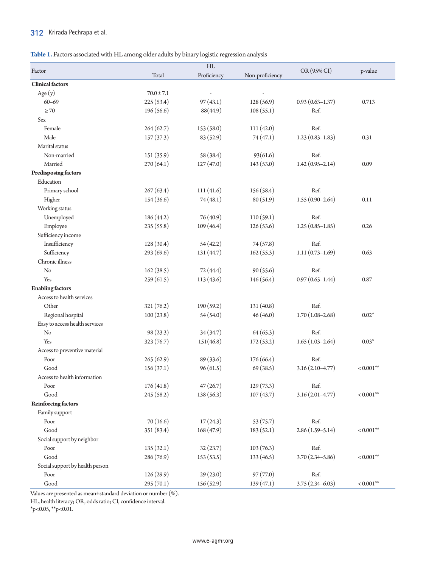## 312 Krirada Pechrapa et al.

## <span id="page-3-0"></span>**Table 1.** Factors associated with HL among older adults by binary logistic regression analysis

|                                 | HL             |             |                 |                     |                |
|---------------------------------|----------------|-------------|-----------------|---------------------|----------------|
| Factor                          | Total          | Proficiency | Non-proficiency | OR (95% CI)         | p-value        |
| <b>Clinical factors</b>         |                |             |                 |                     |                |
| Age (y)                         | $70.0 \pm 7.1$ |             |                 |                     |                |
| $60 - 69$                       | 225(53.4)      | 97(43.1)    | 128(56.9)       | $0.93(0.63 - 1.37)$ | 0.713          |
| $\geq 70$                       | 196(56.6)      | 88(44.9)    | 108(55.1)       | Ref.                |                |
| Sex                             |                |             |                 |                     |                |
| Female                          | 264(62.7)      | 153 (58.0)  | 111(42.0)       | Ref.                |                |
| Male                            | 157(37.3)      | 83 (52.9)   | 74(47.1)        | $1.23(0.83 - 1.83)$ | 0.31           |
| Marital status                  |                |             |                 |                     |                |
| Non-married                     | 151 (35.9)     | 58 (38.4)   | 93(61.6)        | Ref.                |                |
| Married                         | 270(64.1)      | 127(47.0)   | 143(53.0)       | $1.42(0.95 - 2.14)$ | 0.09           |
| Predisposing factors            |                |             |                 |                     |                |
| Education                       |                |             |                 |                     |                |
| Primary school                  | 267(63.4)      | 111(41.6)   | 156(58.4)       | Ref.                |                |
| Higher                          | 154(36.6)      | 74(48.1)    | 80 (51.9)       | $1.55(0.90 - 2.64)$ | 0.11           |
| Working status                  |                |             |                 |                     |                |
| Unemployed                      | 186(44.2)      | 76(40.9)    | 110(59.1)       | Ref.                |                |
| Employee                        | 235(55.8)      | 109 (46.4)  | 126(53.6)       | $1.25(0.85-1.85)$   | 0.26           |
| Sufficiency income              |                |             |                 |                     |                |
| Insufficiency                   | 128(30.4)      | 54(42.2)    | 74(57.8)        | Ref.                |                |
| Sufficiency                     | 293 (69.6)     | 131 (44.7)  | 162(55.3)       | $1.11(0.73 - 1.69)$ | 0.63           |
| Chronic illness                 |                |             |                 |                     |                |
| No                              | 162(38.5)      | 72(44.4)    | 90(55.6)        | Ref.                |                |
| Yes                             | 259(61.5)      | 113(43.6)   | 146(56.4)       | $0.97(0.65 - 1.44)$ | 0.87           |
| <b>Enabling factors</b>         |                |             |                 |                     |                |
| Access to health services       |                |             |                 |                     |                |
| Other                           | 321(76.2)      | 190(59.2)   | 131(40.8)       | Ref.                |                |
| Regional hospital               | 100(23.8)      | 54(54.0)    | 46(46.0)        | $1.70(1.08 - 2.68)$ | $0.02*$        |
| Easy to access health services  |                |             |                 |                     |                |
| No                              | 98(23.3)       | 34(34.7)    | 64(65.3)        | Ref.                |                |
| Yes                             | 323(76.7)      | 151(46.8)   | 172(53.2)       | $1.65(1.03-2.64)$   | $0.03*$        |
| Access to preventive material   |                |             |                 |                     |                |
| Poor                            | 265(62.9)      | 89 (33.6)   | 176(66.4)       | Ref.                |                |
| Good                            | 156(37.1)      | 96(61.5)    | 69 (38.5)       | $3.16(2.10-4.77)$   | $< 0.001$ **   |
| Access to health information    |                |             |                 |                     |                |
| Poor                            | 176(41.8)      | 47(26.7)    | 129(73.3)       | Ref.                |                |
| Good                            | 245 (58.2)     | 138(56.3)   | 107(43.7)       | $3.16(2.01 - 4.77)$ | $< 0.001**$    |
| <b>Reinforcing factors</b>      |                |             |                 |                     |                |
| Family support                  |                |             |                 |                     |                |
| Poor                            | 70(16.6)       | 17(24.3)    | 53(75.7)        | Ref.                |                |
| Good                            | 351 (83.4)     | 168(47.9)   | 183(52.1)       | $2.86(1.59 - 5.14)$ | $< 0.001^{**}$ |
| Social support by neighbor      |                |             |                 |                     |                |
| Poor                            | 135(32.1)      | 32(23.7)    | 103(76.3)       | Ref.                |                |
| Good                            | 286 (76.9)     | 153(53.5)   | 133(46.5)       | $3.70(2.34 - 5.86)$ | $< 0.001**$    |
| Social support by health person |                |             |                 |                     |                |
| Poor                            | 126(29.9)      | 29(23.0)    | 97(77.0)        | Ref.                |                |
| Good                            | 295(70.1)      | 156(52.9)   | 139(47.1)       | $3.75(2.34 - 6.03)$ | $< 0.001**$    |

Values are presented as mean±standard deviation or number (%).

HL, health literacy; OR, odds ratio; CI, confidence interval.

\*p<0.05, \*\*p<0.01.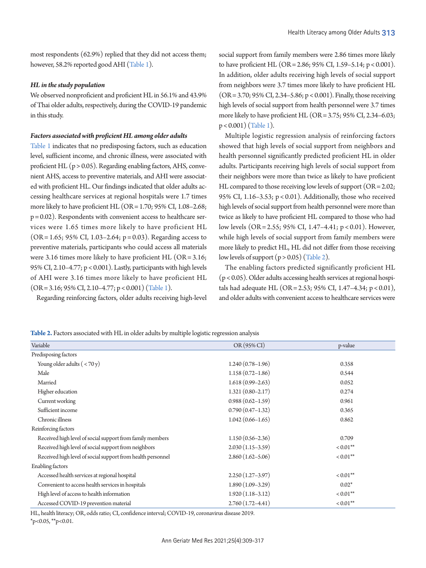most respondents (62.9%) replied that they did not access them; however, 58.2% reported good AHI [\(Table 1](#page-3-0)).

### *HL in the study population*

We observed nonproficient and proficient HL in 56.1% and 43.9% of Thai older adults, respectively, during the COVID-19 pandemic in this study.

#### *Factors associated with proficient HL among older adults*

[Table 1](#page-3-0) indicates that no predisposing factors, such as education level, sufficient income, and chronic illness, were associated with proficient HL  $(p > 0.05)$ . Regarding enabling factors, AHS, convenient AHS, access to preventive materials, and AHI were associated with proficient HL. Our findings indicated that older adults accessing healthcare services at regional hospitals were 1.7 times more likely to have proficient HL (OR = 1.70; 95% CI, 1.08–2.68;  $p = 0.02$ ). Respondents with convenient access to healthcare services were 1.65 times more likely to have proficient HL (OR = 1.65; 95% CI, 1.03–2.64; p = 0.03). Regarding access to preventive materials, participants who could access all materials were 3.16 times more likely to have proficient HL  $(OR = 3.16;$ 95% CI, 2.10–4.77; p < 0.001). Lastly, participants with high levels of AHI were 3.16 times more likely to have proficient HL  $(OR = 3.16; 95\% CI, 2.10-4.77; p < 0.001)$  [\(Table 1\)](#page-3-0).

Regarding reinforcing factors, older adults receiving high-level

social support from family members were 2.86 times more likely to have proficient HL (OR = 2.86; 95% CI, 1.59–5.14; p < 0.001). In addition, older adults receiving high levels of social support from neighbors were 3.7 times more likely to have proficient HL (OR = 3.70; 95% CI, 2.34–5.86; p < 0.001). Finally, those receiving high levels of social support from health personnel were 3.7 times more likely to have proficient HL (OR = 3.75; 95% CI, 2.34–6.03; p < 0.001) [\(Table 1\)](#page-3-0).

Multiple logistic regression analysis of reinforcing factors showed that high levels of social support from neighbors and health personnel significantly predicted proficient HL in older adults. Participants receiving high levels of social support from their neighbors were more than twice as likely to have proficient HL compared to those receiving low levels of support (OR = 2.02; 95% CI, 1.16–3.53; p < 0.01). Additionally, those who received high levels of social support from health personnel were more than twice as likely to have proficient HL compared to those who had low levels (OR = 2.55; 95% CI, 1.47–4.41; p < 0.01). However, while high levels of social support from family members were more likely to predict HL, HL did not differ from those receiving low levels of support  $(p > 0.05)$  [\(Table 2\)](#page-4-0).

The enabling factors predicted significantly proficient HL (p < 0.05). Older adults accessing health services at regional hospitals had adequate HL (OR = 2.53; 95% CI, 1.47–4.34; p < 0.01), and older adults with convenient access to healthcare services were

<span id="page-4-0"></span>**Table 2.** Factors associated with HL in older adults by multiple logistic regression analysis

| Variable                                                    | OR (95% CI)          | p-value     |
|-------------------------------------------------------------|----------------------|-------------|
| Predisposing factors                                        |                      |             |
| Young older adults $(< 70 y)$                               | $1.240(0.78-1.96)$   | 0.358       |
| Male                                                        | $1.158(0.72 - 1.86)$ | 0.544       |
| Married                                                     | $1.618(0.99 - 2.63)$ | 0.052       |
| Higher education                                            | $1.321(0.80 - 2.17)$ | 0.274       |
| Current working                                             | $0.988(0.62 - 1.59)$ | 0.961       |
| Sufficient income                                           | $0.790(0.47-1.32)$   | 0.365       |
| Chronic illness                                             | $1.042(0.66 - 1.65)$ | 0.862       |
| Reinforcing factors                                         |                      |             |
| Received high level of social support from family members   | $1.150(0.56 - 2.36)$ | 0.709       |
| Received high level of social support from neighbors        | $2.030(1.15-3.59)$   | $< 0.01$ ** |
| Received high level of social support from health personnel | $2.860(1.62 - 5.06)$ | $< 0.01$ ** |
| <b>Enabling factors</b>                                     |                      |             |
| Accessed health services at regional hospital               | $2.250(1.27-3.97)$   | $< 0.01$ ** |
| Convenient to access health services in hospitals           | $1.890(1.09-3.29)$   | $0.02*$     |
| High level of access to health information                  | $1.920(1.18-3.12)$   | $0.01**$    |
| Accessed COVID-19 prevention material                       | $2.760(1.72 - 4.41)$ | $< 0.01$ ** |

HL, health literacy; OR, odds ratio; CI, confidence interval; COVID-19, coronavirus disease 2019.

 $*_{p<0.05}$ ,  $*_{p<0.01}$ .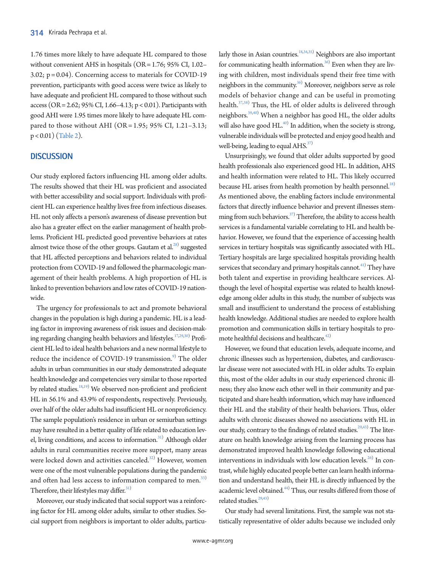1.76 times more likely to have adequate HL compared to those without convenient AHS in hospitals (OR = 1.76; 95% CI, 1.02– 3.02; p = 0.04). Concerning access to materials for COVID-19 prevention, participants with good access were twice as likely to have adequate and proficient HL compared to those without such access (OR = 2.62; 95% CI, 1.66–4.13;  $p < 0.01$ ). Participants with good AHI were 1.95 times more likely to have adequate HL compared to those without AHI (OR = 1.95; 95% CI, 1.21-3.13; p < 0.01) [\(Table 2](#page-4-0)).

## **DISCUSSION**

Our study explored factors influencing HL among older adults. The results showed that their HL was proficient and associated with better accessibility and social support. Individuals with proficient HL can experience healthy lives free from infectious diseases. HL not only affects a person's awareness of disease prevention but also has a greater effect on the earlier management of health problems. Proficient HL predicted good preventive behaviors at rates almost twice those of the other groups. Gautam et al. $^{28)}$  suggested that HL affected perceptions and behaviors related to individual protection from COVID-19 and followed the pharmacologic management of their health problems. A high proportion of HL is linked to prevention behaviors and low rates of COVID-19 nationwide.

The urgency for professionals to act and promote behavioral changes in the population is high during a pandemic. HL is a leading factor in improving awareness of risk issues and decision-mak-ing regarding changing health behaviors and lifestyles.<sup>17,[29](#page-7-11),[30](#page-7-13))</sup> Proficient HL led to ideal health behaviors and a new normal lifestyle to reduce the incidence of COVID-19 transmission.<sup>9)</sup> The older adults in urban communities in our study demonstrated adequate health knowledge and competencies very similar to those reported by related studies.<sup>18,[19](#page-7-15))</sup> We observed non-proficient and proficient HL in 56.1% and 43.9% of respondents, respectively. Previously, over half of the older adults had insufficient HL or nonproficiency. The sample population's residence in urban or semiurban settings may have resulted in a better quality of life related to education lev-el, living conditions, and access to information.<sup>[31](#page-7-16))</sup> Although older adults in rural communities receive more support, many areas were locked down and activities canceled. $^{32)}$  $^{32)}$  $^{32)}$  However, women were one of the most vulnerable populations during the pandemic and often had less access to information compared to men.<sup>[33\)](#page-7-18)</sup> Therefore, their lifestyles may differ.<sup>[31](#page-7-16))</sup>

Moreover, our study indicated that social support was a reinforcing factor for HL among older adults, similar to other studies. Social support from neighbors is important to older adults, particu-

larly those in Asian countries.<sup>1[8,34](#page-7-19)[,35\)](#page-7-20)</sup> Neighbors are also important for communicating health information.<sup>36)</sup> Even when they are living with children, most individuals spend their free time with neighbors in the community.<sup>36)</sup> Moreover, neighbors serve as role models of behavior change and can be useful in promoting health.<sup>[37](#page-7-22)[,38\)](#page-7-23)</sup> Thus, the HL of older adults is delivered through neighbors.<sup>[39](#page-7-24),40</sup>) When a neighbor has good HL, the older adults will also have good  $HL^{40}$  $HL^{40}$  $HL^{40}$ . In addition, when the society is strong, vulnerable individuals will be protected and enjoy good health and well-being, leading to equal  $AHS$ <sup>[37](#page-7-22))</sup>

Unsurprisingly, we found that older adults supported by good health professionals also experienced good HL. In addition, AHS and health information were related to HL. This likely occurred because HL arises from health promotion by health personnel.<sup>18)</sup> As mentioned above, the enabling factors include environmental factors that directly influence behavior and prevent illnesses stem-ming from such behaviors.<sup>[37](#page-7-22))</sup> Therefore, the ability to access health services is a fundamental variable correlating to HL and health behavior. However, we found that the experience of accessing health services in tertiary hospitals was significantly associated with HL. Tertiary hospitals are large specialized hospitals providing health services that secondary and primary hospitals cannot.<sup>41)</sup> They have both talent and expertise in providing healthcare services. Although the level of hospital expertise was related to health knowledge among older adults in this study, the number of subjects was small and insufficient to understand the process of establishing health knowledge. Additional studies are needed to explore health promotion and communication skills in tertiary hospitals to promote healthful decisions and healthcare.<sup> $42)$ </sup>

However, we found that education levels, adequate income, and chronic illnesses such as hypertension, diabetes, and cardiovascular disease were not associated with HL in older adults. To explain this, most of the older adults in our study experienced chronic illness; they also know each other well in their community and participated and share health information, which may have influenced their HL and the stability of their health behaviors. Thus, older adults with chronic diseases showed no associations with HL in our study, contrary to the findings of related studies.<sup>29,43</sup>) The literature on health knowledge arising from the learning process has demonstrated improved health knowledge following educational interventions in individuals with low education levels.<sup>26)</sup> In contrast, while highly educated people better can learn health information and understand health, their HL is directly influenced by the academic level obtained.<sup>44)</sup> Thus, our results differed from those of related studies.<sup>29[,43](#page-8-2))</sup>

Our study had several limitations. First, the sample was not statistically representative of older adults because we included only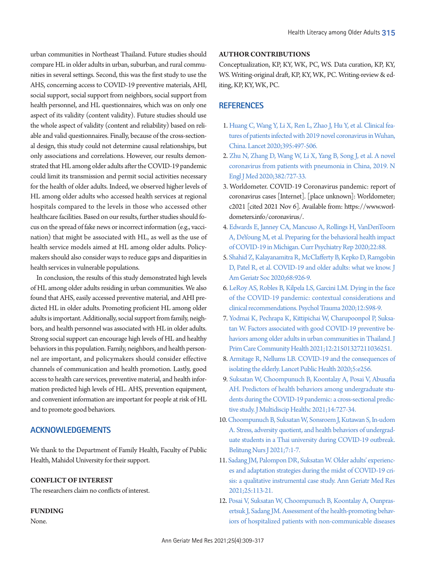urban communities in Northeast Thailand. Future studies should compare HL in older adults in urban, suburban, and rural communities in several settings. Second, this was the first study to use the AHS, concerning access to COVID-19 preventive materials, AHI, social support, social support from neighbors, social support from health personnel, and HL questionnaires, which was on only one aspect of its validity (content validity). Future studies should use the whole aspect of validity (content and reliability) based on reliable and valid questionnaires. Finally, because of the cross-sectional design, this study could not determine causal relationships, but only associations and correlations. However, our results demonstrated that HL among older adults after the COVID-19 pandemic could limit its transmission and permit social activities necessary for the health of older adults. Indeed, we observed higher levels of HL among older adults who accessed health services at regional hospitals compared to the levels in those who accessed other healthcare facilities. Based on our results, further studies should focus on the spread of fake news or incorrect information (e.g., vaccination) that might be associated with HL, as well as the use of health service models aimed at HL among older adults. Policymakers should also consider ways to reduce gaps and disparities in health services in vulnerable populations.

In conclusion, the results of this study demonstrated high levels of HL among older adults residing in urban communities. We also found that AHS, easily accessed preventive material, and AHI predicted HL in older adults. Promoting proficient HL among older adults is important. Additionally, social support from family, neighbors, and health personnel was associated with HL in older adults. Strong social support can encourage high levels of HL and healthy behaviors in this population. Family, neighbors, and health personnel are important, and policymakers should consider effective channels of communication and health promotion. Lastly, good access to health care services, preventive material, and health information predicted high levels of HL. AHS, prevention equipment, and convenient information are important for people at risk of HL and to promote good behaviors.

## **ACKNOWLEDGEMENTS**

We thank to the Department of Family Health, Faculty of Public Health, Mahidol University for their support.

## **CONFLICT OF INTEREST**

The researchers claim no conflicts of interest.

## **FUNDING**

None.

#### **AUTHOR CONTRIBUTIONS**

Conceptualization, KP, KY, WK, PC, WS. Data curation, KP, KY, WS. Writing-original draft, KP, KY, WK, PC. Writing-review & editing, KP, KY, WK, PC.

## **REFERENCES**

- <span id="page-6-0"></span>1. [Huang C, Wang Y, Li X, Ren L, Zhao J, Hu Y, et al. Clinical fea](https://doi.org/10.1016/s0140-6736(20)30183-5)[tures of patients infected with 2019 novel coronavirus in Wuhan,](https://doi.org/10.1016/s0140-6736(20)30183-5)  [China. Lancet 2020;395:497-506.](https://doi.org/10.1016/s0140-6736(20)30183-5)
- <span id="page-6-1"></span>2. [Zhu N, Zhang D, Wang W, Li X, Yang B, Song J, et al. A novel](https://doi.org/10.1056/nejmoa2001017)  [coronavirus from patients with pneumonia in China, 2019. N](https://doi.org/10.1056/nejmoa2001017)  [Engl J Med 2020;382:727-33.](https://doi.org/10.1056/nejmoa2001017)
- <span id="page-6-2"></span>3. Worldometer. COVID-19 Coronavirus pandemic: report of coronavirus cases [Internet]. [place unknown]: Worldometer; c2021 [cited 2021 Nov 6]. Available from: https:/[/www.worl](www.worldometers.info/coronavirus/.)[dometers.info/coronavirus/.](www.worldometers.info/coronavirus/.)
- <span id="page-6-3"></span>[4. Edwards E, Janney CA, Mancuso A, Rollings H, VanDenToorn](https://doi.org/10.1007/s11920-020-01210-y)  [A, DeYoung M, et al. Preparing for the behavioral health impact](https://doi.org/10.1007/s11920-020-01210-y)  [of COVID-19 in Michigan. Curr Psychiatry Rep 2020;22:88.](https://doi.org/10.1007/s11920-020-01210-y)
- <span id="page-6-4"></span>[5. Shahid Z, Kalayanamitra R, McClafferty B, Kepko D, Ramgobin](https://doi.org/10.1111/jgs.16472)  [D, Patel R, et al. COVID-19 and older adults: what we know. J](https://doi.org/10.1111/jgs.16472)  [Am Geriatr Soc 2020;68:926-9](https://doi.org/10.1111/jgs.16472).
- <span id="page-6-5"></span>[6. LeRoy AS, Robles B, Kilpela LS, Garcini LM. Dying in the face](https://doi.org/10.1037/tra0000818)  [of the COVID-19 pandemic: contextual considerations and](https://doi.org/10.1037/tra0000818)  [clinical recommendations. Psychol Trauma 2020;12:S98-9](https://doi.org/10.1037/tra0000818).
- <span id="page-6-6"></span>7[. Yodmai K, Pechrapa K, Kittipichai W, Charupoonpol P, Suksa](https://doi.org/10.1177/21501327211036251)[tan W. Factors associated with good COVID-19 preventive be](https://doi.org/10.1177/21501327211036251)[haviors among older adults in urban communities in Thailand. J](https://doi.org/10.1177/21501327211036251)  [Prim Care Community Health](https://doi.org/10.1177/21501327211036251) 2021;12:21501327211036251.
- <span id="page-6-7"></span>8. Armitage R, Nellums L[B. COVID-19 and the consequences of](https://doi.org/10.1016/s2468-2667(20)30061-x)  [isolating the elderly. Lancet Public Health 2020;5:e256.](https://doi.org/10.1016/s2468-2667(20)30061-x)
- 9. [Suksatan W, Choompunuch B, Koontalay A, Posai V, Abusafia](https://doi.org/10.2147/jmdh.s306718)  [AH. Predictors of health behaviors among undergraduate stu](https://doi.org/10.2147/jmdh.s306718)[dents during the COVID-19 pandemic: a cross-sectional predic](https://doi.org/10.2147/jmdh.s306718)[tive study. J Multidiscip Healthc 2021;14:727-34.](https://doi.org/10.2147/jmdh.s306718)
- <span id="page-6-8"></span>10. [Choompunuch B, Suksatan W, Sonsroem J, Kutawan S, In-udom](https://doi.org/10.33546/bnj.1276)  [A. Stress, adversity quotient, and health behaviors of undergrad](https://doi.org/10.33546/bnj.1276)[uate students in a Thai university during COVID-19 outbreak.](https://doi.org/10.33546/bnj.1276)  [Belitung Nurs J 2021;7:1-7.](https://doi.org/10.33546/bnj.1276)
- <span id="page-6-9"></span>11. [Sadang JM, Palompon DR, Suksatan W. Older adults' experienc](https://doi.org/10.4235/agmr.21.0051)[es and adaptation strategies during the midst of COVID-19 cri](https://doi.org/10.4235/agmr.21.0051)[sis: a qualitative instrumental case study. Ann Geriatr Med Res](https://doi.org/10.4235/agmr.21.0051)  [2021;25:113-21.](https://doi.org/10.4235/agmr.21.0051)
- <span id="page-6-10"></span>12. [Posai V, Suksatan W, Choompunuch B, Koontalay A, Ounpras](https://doi.org/10.2147/jmdh.s329344)[ertsuk J, Sadang JM. Assessment of the health-promoting behav](https://doi.org/10.2147/jmdh.s329344)[iors of hospitalized patients with non-communicable diseases](https://doi.org/10.2147/jmdh.s329344)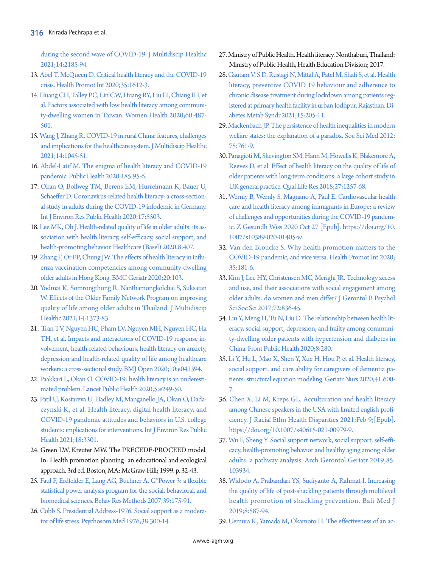[during the second wave of COVID-19. J Multidiscip](https://doi.org/10.2147/jmdh.s329344) Healthc 2021;14:2185-94.

- <span id="page-7-0"></span>13. Abel [T, McQueen D. Critical health literacy and the COVID-19](https://doi.org/10.1093/heapro/daaa040)  [crisis. Health Promot Int 2020;35:1612-3.](https://doi.org/10.1093/heapro/daaa040)
- <span id="page-7-1"></span>14. Huang CH, Talley PC, Lin CW, Huang R[Y, Liu IT, Chiang IH, et](https://doi.org/10.1080/03630242.2019.1662872)  [al. Factors associated with low health literacy among communi](https://doi.org/10.1080/03630242.2019.1662872)[ty-dwelling women in Taiwan. Women Health 2020;60:487-](https://doi.org/10.1080/03630242.2019.1662872) [501.](https://doi.org/10.1080/03630242.2019.1662872)
- <span id="page-7-2"></span>15. Wang J, Zhang R. [COVID-19 in rural China: features, challenges](https://doi.org/10.2147/jmdh.s307232)  [and implications for the healthcare system. J Multidiscip Healthc](https://doi.org/10.2147/jmdh.s307232)  [2021;14:1045-51.](https://doi.org/10.2147/jmdh.s307232)
- <span id="page-7-3"></span>1[6. Abdel-Latif M. The enigma of health literacy and COVID-19](https://doi.org/10.1016/j.puhe.2020.06.030)  [pandemic. Public Health 2020;185:95-6](https://doi.org/10.1016/j.puhe.2020.06.030).
- 17. [Okan O, Bollweg TM, Berens EM, Hurrelmann K, Bauer U,](https://doi.org/10.3390/ijerph17155503)  [Schaeffer D. Coronavirus-related health literacy: a cross-section](https://doi.org/10.3390/ijerph17155503)[al study in adults during the COVID-19 infodemic in Germany.](https://doi.org/10.3390/ijerph17155503)  [Int J Environ Res Public Health 2020;17:5503.](https://doi.org/10.3390/ijerph17155503)
- <span id="page-7-14"></span>18. [Lee MK, Oh J. Health-related quality of life in older adults: its as](https://doi.org/10.3390/healthcare8040407)[sociation with health literacy, self-efficacy, social support, and](https://doi.org/10.3390/healthcare8040407)  [health-promoting behavior. Healthcare \(Basel\) 2020;8:407.](https://doi.org/10.3390/healthcare8040407)
- <span id="page-7-15"></span>19. [Zhang F, Or PP, Chung JW. The effects of health literacy in influ](https://doi.org/10.1186/s12877-020-1504-5)[enza vaccination competencies among community-dwelling](https://doi.org/10.1186/s12877-020-1504-5)  [older adults in Hong Kong. BMC Geriatr 2020;20:103.](https://doi.org/10.1186/s12877-020-1504-5)
- <span id="page-7-4"></span>2[0. Yodmai K, Somrongthong R, Nanthamongkolchai S, Suksatan](https://doi.org/10.2147/jmdh.s315775)  [W. Effects of the Older Family Network Program on improving](https://doi.org/10.2147/jmdh.s315775)  [quality of life among older adults in Thailand. J Multidiscip](https://doi.org/10.2147/jmdh.s315775)  [Healthc 2021;14:1373-83](https://doi.org/10.2147/jmdh.s315775).
- <span id="page-7-5"></span>21. [Tran TV, Nguyen HC, Pham LV, Nguyen MH, Nguyen HC, Ha](https://doi.org/10.1136/bmjopen-2020-041394)  [TH, et al. Impacts and interactions of COVID-19 response in](https://doi.org/10.1136/bmjopen-2020-041394)[volvement, health-related behaviours, health literacy on anxiety,](https://doi.org/10.1136/bmjopen-2020-041394)  [depression and health-related quality of life among](https://doi.org/10.1136/bmjopen-2020-041394) healthcare workers: a cross-sectional study. BMJ Open 2020;10:e041394.
- <span id="page-7-6"></span>2[2. Paakkari L, Okan O. COVID-19: health literacy is an underesti](https://doi.org/10.1016/s2468-2667(20)30086-4)[mated problem. Lancet Public Health 2020;5:e249-50.](https://doi.org/10.1016/s2468-2667(20)30086-4)
- <span id="page-7-7"></span>2[3. Patil U, Kostareva U, Hadley M, Manganello JA, Okan O, Dada](https://doi.org/10.3390/ijerph18063301)[czynski K, et al. Health literacy, digital health literacy, and](https://doi.org/10.3390/ijerph18063301)  [COVID-19 pandemic attitudes and behaviors in U.S. college](https://doi.org/10.3390/ijerph18063301)  [students: implications for interventions. Int J Environ Res](https://doi.org/10.3390/ijerph18063301) Public Health 2021;18:3301.
- <span id="page-7-10"></span><span id="page-7-8"></span>24. Green LW, Kreuter MW. The PRECEDE-PROCEED model. In: Health promotion planning: an educational and ecological approach. 3rd ed. Boston, MA: McGraw-Hill; 1999. p. 32-43.
- <span id="page-7-9"></span>2[5. Faul F, Erdfelder E, Lang AG, Buchner A. G\\*Power 3: a flexible](https://doi.org/10.3758/bf03193146)  [statistical power analysis program for the social, behavioral, and](https://doi.org/10.3758/bf03193146)  [biomedical sciences. Behav Res Methods 2007;39:175-91.](https://doi.org/10.3758/bf03193146)
- 26. [Cobb S. Presidential Address-1976. Social support as a modera](https://doi.org/10.1097/00006842-197609000-00003)[tor of life stress. Psychosom Med 1976;38:300-14.](https://doi.org/10.1097/00006842-197609000-00003)
- <span id="page-7-11"></span>27. Ministry of Public Health. Health literacy. Nonthaburi, Thailand: Ministry of Public Health, Health Education Division; 2017.
- <span id="page-7-12"></span>28[. Gautam V, S D, Rustagi N, Mittal A, Patel M, Shafi S, et al. Health](https://doi.org/10.1016/j.dsx.2020.12.023)  [literacy, preventive COVID 19 behaviour and adherence to](https://doi.org/10.1016/j.dsx.2020.12.023)  [chronic disease treatment during lockdown among patients reg](https://doi.org/10.1016/j.dsx.2020.12.023)[istered at primary health facility in urban Jodhpur](https://doi.org/10.1016/j.dsx.2020.12.023), Rajasthan. Diabetes Metab Syndr 2021;15:205-11.
- <span id="page-7-16"></span>29. [Mackenbach JP. The persistence of health inequalities in modern](https://doi.org/10.1016/j.socscimed.2012.02.031)  [welfare states: the explanation of a paradox. Soc Sci Med 2012;](https://doi.org/10.1016/j.socscimed.2012.02.031) [75:761-9.](https://doi.org/10.1016/j.socscimed.2012.02.031)
- <span id="page-7-13"></span>3[0. Panagioti M, Skevington SM, Hann M, Howells K, Blakemore A,](https://doi.org/10.1007/s11136-017-1775-2)  [Reeves D, et al. Effect of health literacy on the quality of life of](https://doi.org/10.1007/s11136-017-1775-2)  [older patients with long-term conditions: a large cohort study in](https://doi.org/10.1007/s11136-017-1775-2)  [UK general practice. Qual Life Res](https://doi.org/10.1007/s11136-017-1775-2) 2018;27:1257-68.
- 31. [Wernly B, Wernly S, Magnano A, Paul E. Cardiovascular health](https://doi.org/10.1007/s10389-020-01405-w)  [care and health literacy among immigrants in Europe: a review](https://doi.org/10.1007/s10389-020-01405-w)  [of challenges and opportunities during the COVID-19 pandem](https://doi.org/10.1007/s10389-020-01405-w)[ic. Z Gesundh Wiss 2020 Oct 27 \[Epub\]. https://doi.org/10.](https://doi.org/10.1007/s10389-020-01405-w) [1007/s10389-020-01405-w.](https://doi.org/10.1007/s10389-020-01405-w)
- <span id="page-7-17"></span>3[2. Van den Broucke S. Why health promotion matters to the](https://doi.org/10.1093/heapro/daaa042)  [COVID-19 pandemic, and vice versa. Health Promot Int 2020;](https://doi.org/10.1093/heapro/daaa042) [35:181-6.](https://doi.org/10.1093/heapro/daaa042)
- <span id="page-7-18"></span>33[. Kim J, Lee HY, Christensen MC, Merighi JR. Technology access](https://doi.org/10.1093/geronb/gbw123)  [and use, and their associations with social engagement among](https://doi.org/10.1093/geronb/gbw123)  [older adults: do women and men differ? J Gerontol B Psychol](https://doi.org/10.1093/geronb/gbw123)  [Sci Soc Sci 2017;72:836-45.](https://doi.org/10.1093/geronb/gbw123)
- <span id="page-7-19"></span>34[. Liu Y, Meng H, Tu N, Liu D. The relationship between health lit](https://doi.org/10.3389/fpubh.2020.00280)[eracy, social support, depression, and frailty among communi](https://doi.org/10.3389/fpubh.2020.00280)[ty-dwelling older patients with hypertension and diabetes in](https://doi.org/10.3389/fpubh.2020.00280)  [China. Front Public Health 2020;8:280.](https://doi.org/10.3389/fpubh.2020.00280)
- <span id="page-7-20"></span>35[. Li Y, Hu L, Mao X, Shen Y, Xue H, Hou P, et al. Health literacy,](https://doi.org/10.1016/j.gerinurse.2020.03.014)  [social support, and care ability for caregivers of dementia pa](https://doi.org/10.1016/j.gerinurse.2020.03.014)[tients: structural equation modeling. Geriatr Nurs 2020;41:600-](https://doi.org/10.1016/j.gerinurse.2020.03.014) [7.](https://doi.org/10.1016/j.gerinurse.2020.03.014)
- <span id="page-7-22"></span><span id="page-7-21"></span>36. Chen X, Li M, Kreps GL. Acculturation and health literacy among Chinese spea[kers in the USA with limited english profi](https://doi.org/10.1007/s40615-021-00979-9)[ciency. J Racial Ethn Health Disparities 2021;Feb 9;\[Epub\].](https://doi.org/10.1007/s40615-021-00979-9)  [https://doi.org/10.1007/s40615-021-00979-9.](https://doi.org/10.1007/s40615-021-00979-9)
- 37. [Wu F, Sheng Y. Social support network, social support, self-effi](https://doi.org/10.1016/j.archger.2019.103934)[cacy, health-promoting behavior and healthy aging among older](https://doi.org/10.1016/j.archger.2019.103934)  [adults: a pathway analysis. Arch Gerontol Geriatr 2019;85:](https://doi.org/10.1016/j.archger.2019.103934) [103934.](https://doi.org/10.1016/j.archger.2019.103934)
- <span id="page-7-23"></span>38. [Widodo A, Prabandari YS, Sudiyanto A, Rahmat I. Increasing](https://doi.org/10.15562/bmj.v8i2.1470)  [the quality of life of post-shackling patients through multilevel](https://doi.org/10.15562/bmj.v8i2.1470)  [health promotion of shackling prevention. Bali Med J](https://doi.org/10.15562/bmj.v8i2.1470)  [2019;8:587-94.](https://doi.org/10.15562/bmj.v8i2.1470)
- <span id="page-7-24"></span>39[. Uemura K, Yamada M, Okamoto H. The effectiveness of an ac-](https://doi.org/10.1159/000511357)